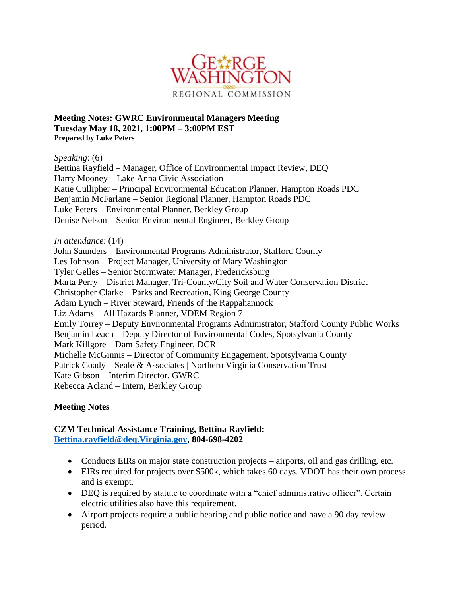

**Meeting Notes: GWRC Environmental Managers Meeting Tuesday May 18, 2021, 1:00PM – 3:00PM EST Prepared by Luke Peters**

*Speaking*: (6)

Bettina Rayfield – Manager, Office of Environmental Impact Review, DEQ Harry Mooney – Lake Anna Civic Association Katie Cullipher – Principal Environmental Education Planner, Hampton Roads PDC Benjamin McFarlane – Senior Regional Planner, Hampton Roads PDC Luke Peters – Environmental Planner, Berkley Group Denise Nelson – Senior Environmental Engineer, Berkley Group

*In attendance*: (14)

John Saunders – Environmental Programs Administrator, Stafford County Les Johnson – Project Manager, University of Mary Washington Tyler Gelles – Senior Stormwater Manager, Fredericksburg Marta Perry – District Manager, Tri-County/City Soil and Water Conservation District Christopher Clarke – Parks and Recreation, King George County Adam Lynch – River Steward, Friends of the Rappahannock Liz Adams – All Hazards Planner, VDEM Region 7 Emily Torrey – Deputy Environmental Programs Administrator, Stafford County Public Works Benjamin Leach – Deputy Director of Environmental Codes, Spotsylvania County Mark Killgore – Dam Safety Engineer, DCR Michelle McGinnis – Director of Community Engagement, Spotsylvania County Patrick Coady – Seale & Associates | Northern Virginia Conservation Trust Kate Gibson – Interim Director, GWRC Rebecca Acland – Intern, Berkley Group

### **Meeting Notes**

#### **CZM Technical Assistance Training, Bettina Rayfield: [Bettina.rayfield@deq.Virginia.gov,](mailto:Bettina.rayfield@deq.Virginia.gov) 804-698-4202**

- Conducts EIRs on major state construction projects airports, oil and gas drilling, etc.
- EIRs required for projects over \$500k, which takes 60 days. VDOT has their own process and is exempt.
- DEQ is required by statute to coordinate with a "chief administrative officer". Certain electric utilities also have this requirement.
- Airport projects require a public hearing and public notice and have a 90 day review period.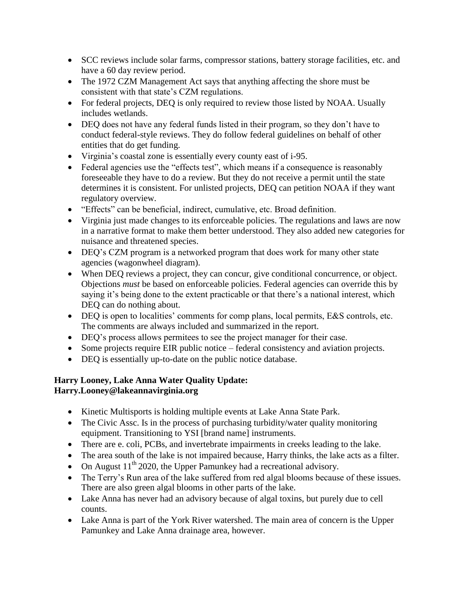- SCC reviews include solar farms, compressor stations, battery storage facilities, etc. and have a 60 day review period.
- The 1972 CZM Management Act says that anything affecting the shore must be consistent with that state's CZM regulations.
- For federal projects, DEQ is only required to review those listed by NOAA. Usually includes wetlands.
- DEQ does not have any federal funds listed in their program, so they don't have to conduct federal-style reviews. They do follow federal guidelines on behalf of other entities that do get funding.
- Virginia's coastal zone is essentially every county east of i-95.
- Federal agencies use the "effects test", which means if a consequence is reasonably foreseeable they have to do a review. But they do not receive a permit until the state determines it is consistent. For unlisted projects, DEQ can petition NOAA if they want regulatory overview.
- "Effects" can be beneficial, indirect, cumulative, etc. Broad definition.
- Virginia just made changes to its enforceable policies. The regulations and laws are now in a narrative format to make them better understood. They also added new categories for nuisance and threatened species.
- DEQ's CZM program is a networked program that does work for many other state agencies (wagonwheel diagram).
- When DEQ reviews a project, they can concur, give conditional concurrence, or object. Objections *must* be based on enforceable policies. Federal agencies can override this by saying it's being done to the extent practicable or that there's a national interest, which DEQ can do nothing about.
- DEQ is open to localities' comments for comp plans, local permits, E&S controls, etc. The comments are always included and summarized in the report.
- DEQ's process allows permitees to see the project manager for their case.
- Some projects require EIR public notice federal consistency and aviation projects.
- DEQ is essentially up-to-date on the public notice database.

### **Harry Looney, Lake Anna Water Quality Update: Harry.Looney@lakeannavirginia.org**

- Kinetic Multisports is holding multiple events at Lake Anna State Park.
- The Civic Assc. Is in the process of purchasing turbidity/water quality monitoring equipment. Transitioning to YSI [brand name] instruments.
- There are e. coli, PCBs, and invertebrate impairments in creeks leading to the lake.
- The area south of the lake is not impaired because, Harry thinks, the lake acts as a filter.
- On August  $11^{th}$  2020, the Upper Pamunkey had a recreational advisory.
- The Terry's Run area of the lake suffered from red algal blooms because of these issues. There are also green algal blooms in other parts of the lake.
- Lake Anna has never had an advisory because of algal toxins, but purely due to cell counts.
- Lake Anna is part of the York River watershed. The main area of concern is the Upper Pamunkey and Lake Anna drainage area, however.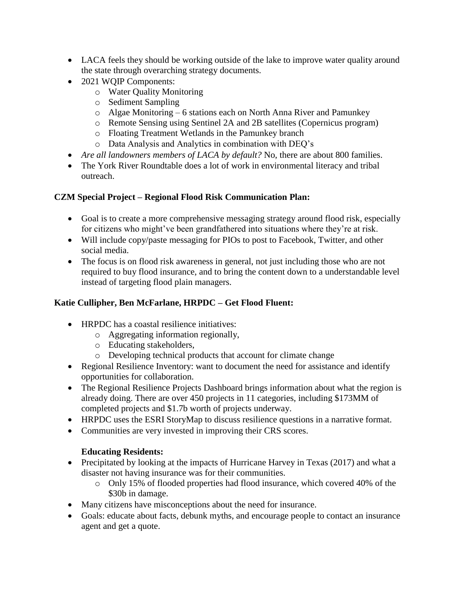- LACA feels they should be working outside of the lake to improve water quality around the state through overarching strategy documents.
- 2021 WQIP Components:
	- o Water Quality Monitoring
	- o Sediment Sampling
	- o Algae Monitoring 6 stations each on North Anna River and Pamunkey
	- o Remote Sensing using Sentinel 2A and 2B satellites (Copernicus program)
	- o Floating Treatment Wetlands in the Pamunkey branch
	- o Data Analysis and Analytics in combination with DEQ's
- *Are all landowners members of LACA by default?* No, there are about 800 families.
- The York River Roundtable does a lot of work in environmental literacy and tribal outreach.

## **CZM Special Project – Regional Flood Risk Communication Plan:**

- Goal is to create a more comprehensive messaging strategy around flood risk, especially for citizens who might've been grandfathered into situations where they're at risk.
- Will include copy/paste messaging for PIOs to post to Facebook, Twitter, and other social media.
- The focus is on flood risk awareness in general, not just including those who are not required to buy flood insurance, and to bring the content down to a understandable level instead of targeting flood plain managers.

# **Katie Cullipher, Ben McFarlane, HRPDC – Get Flood Fluent:**

- HRPDC has a coastal resilience initiatives:
	- o Aggregating information regionally,
	- o Educating stakeholders,
	- o Developing technical products that account for climate change
- Regional Resilience Inventory: want to document the need for assistance and identify opportunities for collaboration.
- The Regional Resilience Projects Dashboard brings information about what the region is already doing. There are over 450 projects in 11 categories, including \$173MM of completed projects and \$1.7b worth of projects underway.
- HRPDC uses the ESRI StoryMap to discuss resilience questions in a narrative format.
- Communities are very invested in improving their CRS scores.

# **Educating Residents:**

- Precipitated by looking at the impacts of Hurricane Harvey in Texas (2017) and what a disaster not having insurance was for their communities.
	- o Only 15% of flooded properties had flood insurance, which covered 40% of the \$30b in damage.
- Many citizens have misconceptions about the need for insurance.
- Goals: educate about facts, debunk myths, and encourage people to contact an insurance agent and get a quote.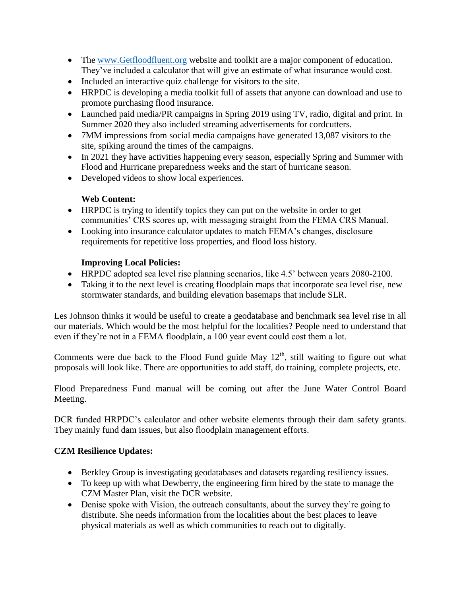- The [www.Getfloodfluent.org](http://www.getfloodfluent.org/) website and toolkit are a major component of education. They've included a calculator that will give an estimate of what insurance would cost.
- Included an interactive quiz challenge for visitors to the site.
- HRPDC is developing a media toolkit full of assets that anyone can download and use to promote purchasing flood insurance.
- Launched paid media/PR campaigns in Spring 2019 using TV, radio, digital and print. In Summer 2020 they also included streaming advertisements for cordcutters.
- 7MM impressions from social media campaigns have generated 13,087 visitors to the site, spiking around the times of the campaigns.
- In 2021 they have activities happening every season, especially Spring and Summer with Flood and Hurricane preparedness weeks and the start of hurricane season.
- Developed videos to show local experiences.

## **Web Content:**

- HRPDC is trying to identify topics they can put on the website in order to get communities' CRS scores up, with messaging straight from the FEMA CRS Manual.
- Looking into insurance calculator updates to match FEMA's changes, disclosure requirements for repetitive loss properties, and flood loss history.

### **Improving Local Policies:**

- HRPDC adopted sea level rise planning scenarios, like 4.5' between years 2080-2100.
- Taking it to the next level is creating floodplain maps that incorporate sea level rise, new stormwater standards, and building elevation basemaps that include SLR.

Les Johnson thinks it would be useful to create a geodatabase and benchmark sea level rise in all our materials. Which would be the most helpful for the localities? People need to understand that even if they're not in a FEMA floodplain, a 100 year event could cost them a lot.

Comments were due back to the Flood Fund guide May  $12<sup>th</sup>$ , still waiting to figure out what proposals will look like. There are opportunities to add staff, do training, complete projects, etc.

Flood Preparedness Fund manual will be coming out after the June Water Control Board Meeting.

DCR funded HRPDC's calculator and other website elements through their dam safety grants. They mainly fund dam issues, but also floodplain management efforts.

### **CZM Resilience Updates:**

- Berkley Group is investigating geodatabases and datasets regarding resiliency issues.
- To keep up with what Dewberry, the engineering firm hired by the state to manage the CZM Master Plan, visit the DCR website.
- Denise spoke with Vision, the outreach consultants, about the survey they're going to distribute. She needs information from the localities about the best places to leave physical materials as well as which communities to reach out to digitally.